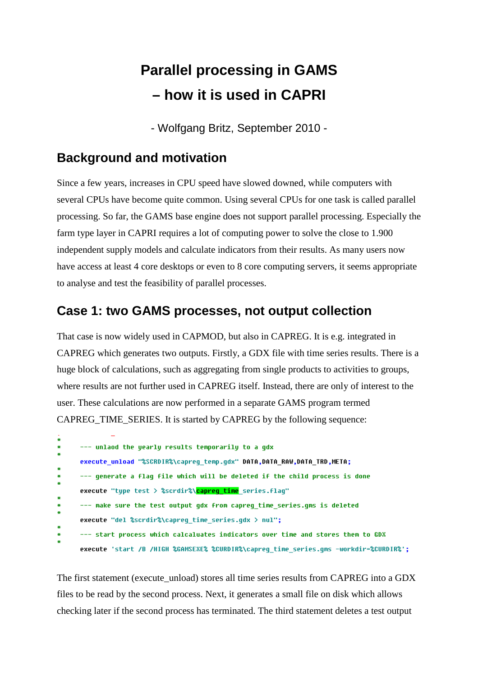## **Parallel processing in GAMS – how it is used in CAPRI**

- Wolfgang Britz, September 2010 -

## **Background and motivation**

Since a few years, increases in CPU speed have slowed downed, while computers with several CPUs have become quite common. Using several CPUs for one task is called parallel processing. So far, the GAMS base engine does not support parallel processing. Especially the farm type layer in CAPRI requires a lot of computing power to solve the close to 1.900 independent supply models and calculate indicators from their results. As many users now have access at least 4 core desktops or even to 8 core computing servers, it seems appropriate to analyse and test the feasibility of parallel processes.

## **Case 1: two GAMS processes, not output collection**

That case is now widely used in CAPMOD, but also in CAPREG. It is e.g. integrated in CAPREG which generates two outputs. Firstly, a GDX file with time series results. There is a huge block of calculations, such as aggregating from single products to activities to groups, where results are not further used in CAPREG itself. Instead, there are only of interest to the user. These calculations are now performed in a separate GAMS program termed CAPREG TIME SERIES. It is started by CAPREG by the following sequence:

| ¥. |                                                                                       |
|----|---------------------------------------------------------------------------------------|
| ₩  | --- unlaod the yearly results temporarily to a gdx                                    |
| ₩  |                                                                                       |
|    | execute_unload "%SCRDIR%\capreg_temp.gdx" DATA,DATA_RAW,DATA_TRD,META;                |
| ÷. |                                                                                       |
| ¥. | --- generate a flag file which will be deleted if the child process is done           |
| ₩  |                                                                                       |
|    | execute "type test > %scrdir%\capreg_time series.flag"                                |
| ÷. |                                                                                       |
| ₩  | --- make sure the test output qdx from capreq time series.qms is deleted              |
| ₩  |                                                                                       |
|    | execute "del %scrdir%\capreq time series.qdx $>$ nul";                                |
| ÷. |                                                                                       |
| ₩  | --- start process which calcaluates indicators over time and stores them to GDX       |
| ÷. |                                                                                       |
|    | execute 'start /B /HIGH %GAMSEXE% %CURDIR%\capreg_time_series.gms -workdir=%CURDIR%': |

The first statement (execute unload) stores all time series results from CAPREG into a GDX files to be read by the second process. Next, it generates a small file on disk which allows checking later if the second process has terminated. The third statement deletes a test output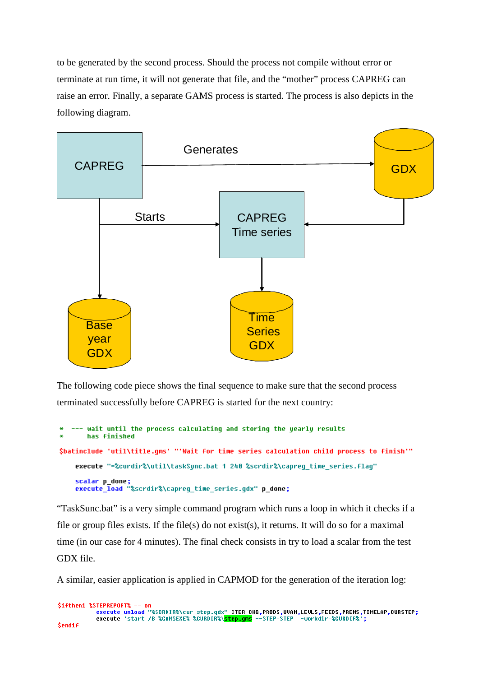to be generated by the second process. Should the process not compile without error or terminate at run time, it will not generate that file, and the "mother" process CAPREG can raise an error. Finally, a separate GAMS process is started. The process is also depicts in the following diagram.



The following code piece shows the final sequence to make sure that the second process terminated successfully before CAPREG is started for the next country:

```
wait until the process calculating and storing the yearly results
       has finished
$batinclude 'util\title.gms' "'Wait for time series calculation child process to finish'"
    execute "=%curdir%\util\taskSync.bat 1 240 %scrdir%\capreq time series.flaq"
    scalar p_done;<br>execute_load "%scrdir%\capreg_time_series.gdx" p_done;
```
"TaskSunc.bat" is a very simple command program which runs a loop in which it checks if a file or group files exists. If the file(s) do not exist(s), it returns. It will do so for a maximal time (in our case for 4 minutes). The final check consists in try to load a scalar from the test GDX file.

A similar, easier application is applied in CAPMOD for the generation of the iteration log:

```
Siftheni %STEPREPORT% == on
                   execute_unload "%SCRDIR%\cur_step.gdx" ITER_CHG,PRODS,UVAN,LEVLS,FEEDS,PREMS,TIMELAP,CURSTEP;<br>execute_unload "%SCRDIR%\cur_step.gdx" ITER_CHG,PRODS,UVAN,LEVLS,FEEDS,PREMS,TIMELAP,CURSTEP;
<u>Sendif</u>
```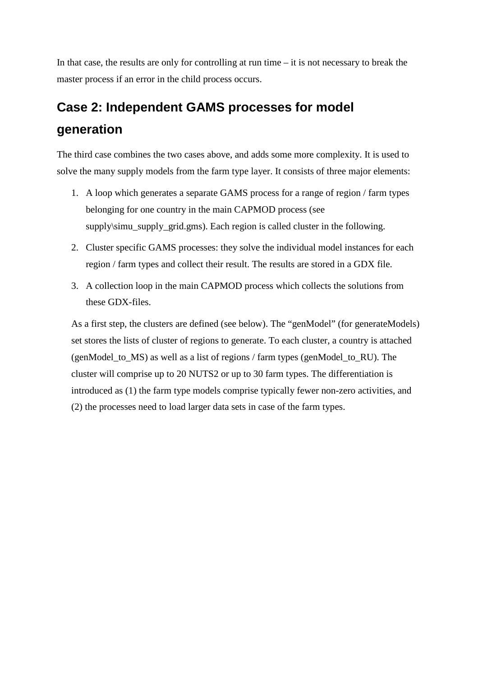In that case, the results are only for controlling at run time  $-$  it is not necessary to break the master process if an error in the child process occurs.

## **Case 2: Independent GAMS processes for model generation**

The third case combines the two cases above, and adds some more complexity. It is used to solve the many supply models from the farm type layer. It consists of three major elements:

- 1. A loop which generates a separate GAMS process for a range of region / farm types belonging for one country in the main CAPMOD process (see supply\simu\_supply\_grid.gms). Each region is called cluster in the following.
- 2. Cluster specific GAMS processes: they solve the individual model instances for each region / farm types and collect their result. The results are stored in a GDX file.
- 3. A collection loop in the main CAPMOD process which collects the solutions from these GDX-files.

As a first step, the clusters are defined (see below). The "genModel" (for generateModels) set stores the lists of cluster of regions to generate. To each cluster, a country is attached (genModel to MS) as well as a list of regions / farm types (genModel to RU). The cluster will comprise up to 20 NUTS2 or up to 30 farm types. The differentiation is introduced as (1) the farm type models comprise typically fewer non-zero activities, and (2) the processes need to load larger data sets in case of the farm types.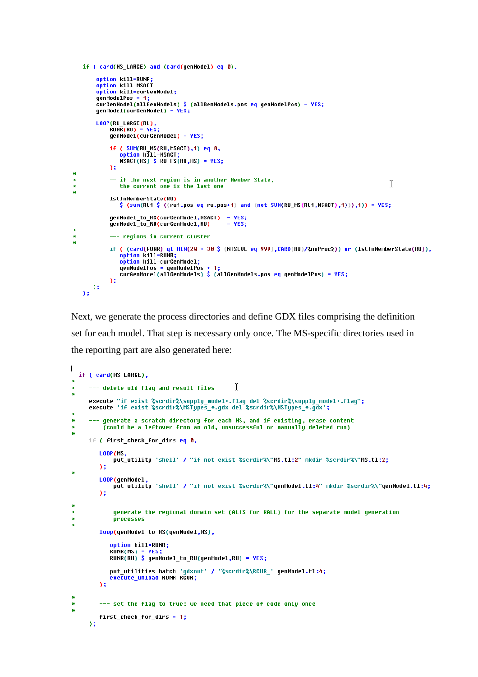```
if ( card(MS LARGE) and (card(genModel) eq 0),
         option kill=RUNR;
         option kill=MSACT
         option kill=curGenModel:
         nenModelPos =
         curGenModel(allGenModels) $ (allGenModels.pos eq qenModelPos) = YES;
         genModel(curGenModel) = YES;
         LOOP(RU LARGE(RU)
             RUNR(RU) = YESqenModel(curGenModel) = YES;
             if ( SUM(RU_MS(RU,MSACT),1) eq 0,
                 option kill=MSACT;<br>http://www.math.com/2017<br>MSACT(MS) $ RU_MS(RU,MS) = YES;
             \Delta :
\ddot{\phantom{1}}\ast-- if the next region is in another Member State,
                                                                                                                      T
\ddot{\ast}the current one is the last one
             1stInMemberState(RU)
                 \frac{1}{2} (sum(RU1 \frac{1}{2} ((ru1.pos eq ru.pos+1) and (not SUM(RU_MS(RU1,MSACT),1)),1)) = YES;
             qenModel to MS(curGenModel,MSACT) = YES;
             genHodel_to_RU(curGenModel,RU)
                                                         = YES;
з.
             --- regions in current cluster
\ddot{\bullet}if ( (card(RUNR) qt MIN(20 + 30 $ (NTSLUL eq 999),CARD(RU)/%noProc%)) or (lstInMemberState(RU)),
                 option kill=RUNR;
                 option kill=curGenModel;
                 genModelPos = genModelPos + 1;<br>curGenModelPos = genModelPos + 1;<br>curGenModel(allGenModels) $ (allGenModels.pos eq genModelPos) = YES;
             \lambda:
      \lambda\mathcal{E}
```
Next, we generate the process directories and define GDX files comprising the definition set for each model. That step is necessary only once. The MS-specific directories used in the reporting part are also generated here:

```
\mathbf{I}if ( card(MS LARGE),
                                                     I
\overline{\mathbf{r}}--- delete old flaq and result files
\astexecute "if exist %scrdir%\supply_model*.flag_del %scrdir%\supply_model*.flag";
     execute 'if exist %scrdir%\MSTypes_*.gdx del %scrdir%\MSTypes_*.gdx';
¥
          generate a scratch directory for each MS, and if existing, erase content
\ast(could be a leftover from an old, unsuccessful or manually deleted run)
\astif ( first check for dirs eq 0,
         LOOP(MS.
             put_utility 'shell' / "if not exist %scrdir%\"MS.tl:2" mkdir %scrdir%\"MS.tl:2;
         55
\ddot{\phantom{1}}LONP/aenMadel
             put_utility 'shell' / "if not exist %scrdir%\"genModel.tl:4" mkdir %scrdir%\"genModel.tl:4;
         h.
\ast--- generate the regional domain set (ALIS for RALL) for the separate model generation
\mathbf{z}processes
\astloop(genModel_to_MS(genModel,MS),
             option kill=RUNR;
            RUNR(MS) = YES;<br>RUNR(MS) = YES;<br>RUNR(RU) $ genModel_to_RU(genModel,RU) = YES;
            put utilities batch 'qdxout' / '%scrdir%\RCUR ' qenModel.tl:4;
             execute unload RUNR-RCUR;
         Y.
×
         --- set the flag to true: we need that piece of code only once
\ast\ddot{\phantom{1}}first_check_for_dirs = 1;
     55
```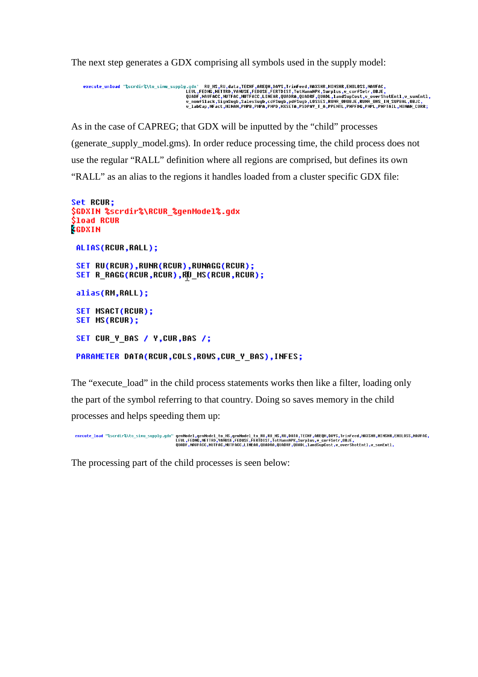The next step generates a GDX comprising all symbols used in the supply model:

```
, execute_unload '%scrdir%\to_simu_supply.gdx' RU_MS,RU,data,TECHF,AREQN,DAYS,TrimFeed,MAXSHR,MIMSHR,EMILOSS,NAOFAC<br>LEUL,FEDNG,NETTAD,YANUSE,FEDUSE,EFRIDIST,TotMannNPK,Surplus,v_corfSetr,DBJE,<br>QUAR,NAUFACC,NURGE,LINGCROUR,
```
As in the case of CAPREG; that GDX will be inputted by the "child" processes (generate\_supply\_model.gms). In order reduce processing time, the child process does not use the regular "RALL" definition where all regions are comprised, but defines its own "RALL" as an alias to the regions it handles loaded from a cluster specific GDX file:

```
Set RCUR;
$GDXIN %scrdir%\RCUR %qenModel%.qdx
$load RCUR
SGDXIN
 ALIAS(RCUR, RALL);
 SET RU(RCUR),RUNR(RCUR),RUNAGG(RCUR);
 SET R_RAGG(RCUR,RCUR),RU_MS(RCUR,RCUR);
 alias(RM,RALL);
 SET MSACT(RCUR);
 SET MS(RCUR);
 SET CUR_Y_BAS / Y,CUR,BAS /;
 PARAMETER DATA(RCUR,COLS,ROWS,CUR Y BAS),INFES;
```
The "execute load" in the child process statements works then like a filter, loading only the part of the symbol referring to that country. Doing so saves memory in the child processes and helps speeding them up:

```
genModel,genModel_to_MS,genModel_to_RU,RU_MS,RU,DATA,TECHF,AREQM,DAYS,TrimFeed,MAXSHR,MINSHR,EMILOSS,NAVFAC,<br>LEVL,FEDNG,NETTRD,YAÑUSE,FEDUSE,FERTDIST,TotMannNPK,Surplus,v_corfSetr,OBJE,<br>QUADF,NAVFACC,NUTFAC,NUTFACC,LINEAR
execute_load "%scrdir%\to_simu_supply.gdx"
```
The processing part of the child processes is seen below: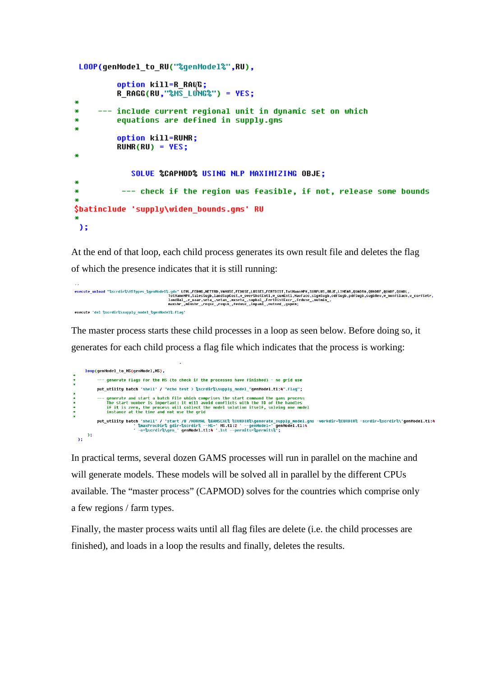```
LOOP(genModel to RU("%genModel%".RU).
         option kill=R RAQG:
         R RAGG(RU."%MS LONG%") = YES:
æ
×
     --- include current regional unit in dunamic set on which
×
         equations are defined in supply.gms
×
         option kill=RUNR:
         RUNR(RU) = YES:
×
            SOLVE %CAPMOD% USING NLP MAXIMIZING OBJE:
æ
          --- check if the region was feasible, if not, release some bounds
4
$batinclude 'supply\widen bounds.qms' RU
美
03
```
At the end of that loop, each child process generates its own result file and deletes the flag of which the presence indicates that it is still running:

```
execute_unload "%scrdir%\MSTypes_%genModel%.gdx" LEVL,FEDMG,MBTTRD,YANUSE,FEDUSE,LOSSES,FERTDIST,TotHannMPK,SURPLUS,DBJE,LINEAR,QUADRR,QUADRF,QUADR,QUADL,<br>TotHannMPR,$alesSugb,JandSupCsot,y_ourFSesting.handSupCsot,y_ourFS
execute 'del %scrdir%\supply model %qenModel%.flaq'
```
The master process starts these child processes in a loop as seen below. Before doing so, it generates for each child process a flag file which indicates that the process is working:

```
loop(genModel to MS(genModel,MS),
            --- generate flags for the MS (to check if the processes have finished) - no grid use
            put utilitu batch 'shell' / "echo test > %scrdir%\supplu model "genModel.tl:4".flag":
           --- generate and start a batch file which comprises the start command the gams process<br>The start number is important: it will avoid conflicts with the ID of the handles<br>if it is zero, the process will collect the model sol
            put_utility batch 'shell' / 'start /B /NORMAL %GANSEXE% %CURDIR%\generate_supply_model.gms -workdir=%CURDIR% -scrdir=%scrdir%\'genModel.tl:4<br>| %maxProcDir% gdir=%scrdir% --MS=' MS.tl:2 ' --genModel-' genModel.tl:4 *<br>| -o=%
\chi^{(0)}_i
```
In practical terms, several dozen GAMS processes will run in parallel on the machine and will generate models. These models will be solved all in parallel by the different CPUs available. The "master process" (CAPMOD) solves for the countries which comprise only a few regions / farm types.

Finally, the master process waits until all flag files are delete (i.e. the child processes are finished), and loads in a loop the results and finally, deletes the results.